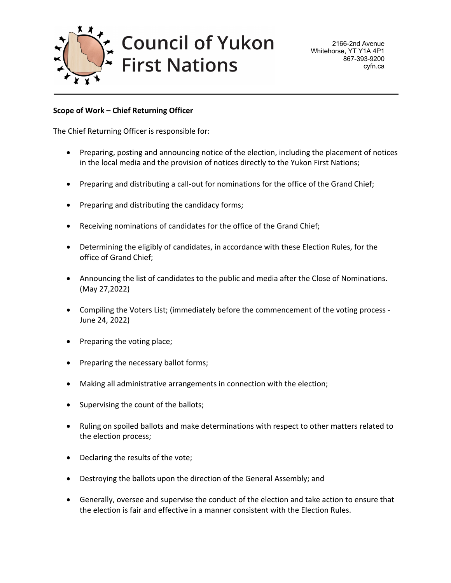

**Council of Yukon First Nations** 

# **Scope of Work – Chief Returning Officer**

The Chief Returning Officer is responsible for:

- Preparing, posting and announcing notice of the election, including the placement of notices in the local media and the provision of notices directly to the Yukon First Nations;
- Preparing and distributing a call-out for nominations for the office of the Grand Chief;
- Preparing and distributing the candidacy forms;
- Receiving nominations of candidates for the office of the Grand Chief;
- Determining the eligibly of candidates, in accordance with these Election Rules, for the office of Grand Chief;
- Announcing the list of candidates to the public and media after the Close of Nominations. (May 27,2022)
- Compiling the Voters List; (immediately before the commencement of the voting process June 24, 2022)
- Preparing the voting place;
- Preparing the necessary ballot forms;
- Making all administrative arrangements in connection with the election;
- Supervising the count of the ballots;
- Ruling on spoiled ballots and make determinations with respect to other matters related to the election process;
- Declaring the results of the vote;
- Destroying the ballots upon the direction of the General Assembly; and
- Generally, oversee and supervise the conduct of the election and take action to ensure that the election is fair and effective in a manner consistent with the Election Rules.